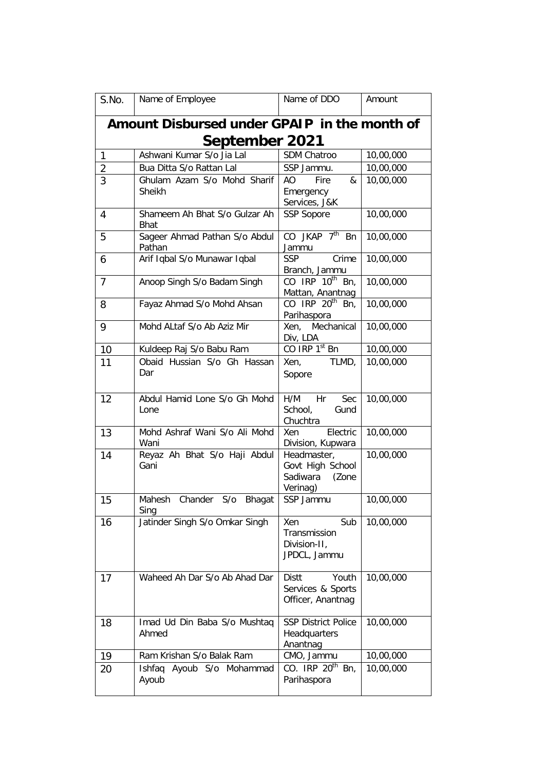| S.No.          | Name of Employee                             | Name of DDO                                                      | Amount    |
|----------------|----------------------------------------------|------------------------------------------------------------------|-----------|
|                | Amount Disbursed under GPAIP in the month of |                                                                  |           |
|                | September 2021                               |                                                                  |           |
| 1              | Ashwani Kumar S/o Jia Lal                    | SDM Chatroo                                                      | 10,00,000 |
| $\overline{2}$ | Bua Ditta S/o Rattan Lal                     | SSP Jammu.                                                       | 10,00,000 |
| 3              | Ghulam Azam S/o Mohd Sharif                  | Fire<br>AO<br>&                                                  | 10,00,000 |
|                | <b>Sheikh</b>                                | Emergency<br>Services, J&K                                       |           |
| 4              | Shameem Ah Bhat S/o Gulzar Ah<br><b>Bhat</b> | <b>SSP Sopore</b>                                                | 10,00,000 |
| 5              | Sageer Ahmad Pathan S/o Abdul<br>Pathan      | CO JKAP 7 <sup>th</sup> Bn<br>Jammu                              | 10,00,000 |
| 6              | Arif Iqbal S/o Munawar Iqbal                 | <b>SSP</b><br>Crime<br>Branch, Jammu                             | 10,00,000 |
| 7              | Anoop Singh S/o Badam Singh                  | CO IRP 10 <sup>th</sup> Bn,<br>Mattan, Anantnag                  | 10,00,000 |
| 8              | Fayaz Ahmad S/o Mohd Ahsan                   | CO IRP 20 <sup>th</sup> Bn,<br>Parihaspora                       | 10,00,000 |
| 9              | Mohd ALtaf S/o Ab Aziz Mir                   | Xen, Mechanical<br>Div, LDA                                      | 10,00,000 |
| 10             | Kuldeep Raj S/o Babu Ram                     | CO IRP 1 <sup>st</sup> Bn                                        | 10,00,000 |
| 11             | Obaid Hussian S/o Gh Hassan<br>Dar           | Xen,<br>TLMD,<br>Sopore                                          | 10,00,000 |
| 12             | Abdul Hamid Lone S/o Gh Mohd<br>Lone         | H/M<br>Sec<br>– Hr<br>School,<br>Gund<br>Chuchtra                | 10,00,000 |
| 13             | Mohd Ashraf Wani S/o Ali Mohd<br>Wani        | Electric<br><b>Xen</b><br>Division, Kupwara                      | 10,00,000 |
| 14             | Reyaz Ah Bhat S/o Haji Abdul<br>Gani         | Headmaster,<br>Govt High School<br>Sadiwara<br>(Zone<br>Verinag) | 10,00,000 |
| 15             | Mahesh Chander S/o Bhagat<br>Sing            | SSP Jammu                                                        | 10,00,000 |
| 16             | Jatinder Singh S/o Omkar Singh               | Xen<br>Sub<br>Transmission<br>Division-II,<br>JPDCL, Jammu       | 10,00,000 |
| 17             | Waheed Ah Dar S/o Ab Ahad Dar                | Youth<br>Distt<br>Services & Sports<br>Officer, Anantnag         | 10,00,000 |
| 18             | Imad Ud Din Baba S/o Mushtaq<br>Ahmed        | <b>SSP District Police</b><br>Headquarters<br>Anantnag           | 10,00,000 |
| 19             | Ram Krishan S/o Balak Ram                    | CMO, Jammu                                                       | 10,00,000 |
| 20             | Ishfaq<br>Ayoub S/o Mohammad<br>Ayoub        | CO. IRP $20^{th}$ Bn,<br>Parihaspora                             | 10,00,000 |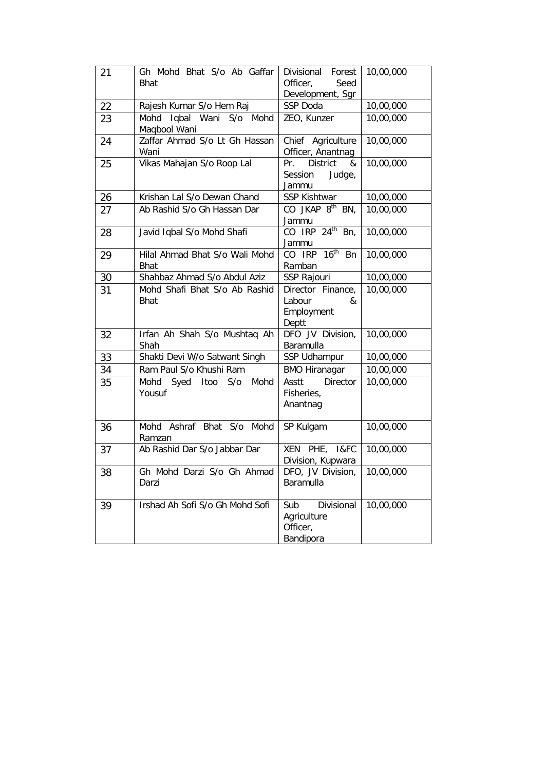| 21 | Gh Mohd Bhat S/o Ab Gaffar<br><b>Bhat</b>     | Divisional Forest<br>Officer,<br>Seed                     | 10,00,000 |
|----|-----------------------------------------------|-----------------------------------------------------------|-----------|
| 22 | Rajesh Kumar S/o Hem Raj                      | Development, Sgr<br>SSP Doda                              | 10,00,000 |
| 23 | Mohd Iqbal Wani S/o Mohd<br>Maqbool Wani      | ZEO, Kunzer                                               | 10,00,000 |
| 24 | Zaffar Ahmad S/o Lt Gh Hassan<br>Wani         | Chief Agriculture<br>Officer, Anantnag                    | 10,00,000 |
| 25 | Vikas Mahajan S/o Roop Lal                    | <b>District</b><br>Pr.<br>&<br>Session<br>Judge,<br>Jammu | 10,00,000 |
| 26 | Krishan Lal S/o Dewan Chand                   | SSP Kishtwar                                              | 10,00,000 |
| 27 | Ab Rashid S/o Gh Hassan Dar                   | CO JKAP $8^{th}$ BN,<br>Jammu                             | 10,00,000 |
| 28 | Javid Iqbal S/o Mohd Shafi                    | CO IRP $24^{th}$ Bn,<br>Jammu                             | 10,00,000 |
| 29 | Hilal Ahmad Bhat S/o Wali Mohd<br><b>Bhat</b> | CO IRP 16 <sup>th</sup> Bn<br>Ramban                      | 10,00,000 |
| 30 | Shahbaz Ahmad S/o Abdul Aziz                  | SSP Rajouri                                               | 10,00,000 |
| 31 | Mohd Shafi Bhat S/o Ab Rashid<br><b>Bhat</b>  | Director Finance,<br>Labour<br>&<br>Employment<br>Deptt   | 10,00,000 |
| 32 | Irfan Ah Shah S/o Mushtaq Ah<br>Shah          | DFO JV Division,<br>Baramulla                             | 10,00,000 |
| 33 | Shakti Devi W/o Satwant Singh                 | SSP Udhampur                                              | 10,00,000 |
| 34 | Ram Paul S/o Khushi Ram                       | <b>BMO Hiranagar</b>                                      | 10,00,000 |
| 35 | Mohd<br>Mohd Syed Itoo S/o<br>Yousuf          | Asstt Director<br>Fisheries,<br>Anantnag                  | 10,00,000 |
| 36 | Mohd Ashraf Bhat S/o Mohd<br>Ramzan           | SP Kulgam                                                 | 10,00,000 |
| 37 | Ab Rashid Dar S/o Jabbar Dar                  | XEN PHE, I&FC<br>Division, Kupwara                        | 10,00,000 |
| 38 | Gh Mohd Darzi S/o Gh Ahmad<br>Darzi           | DFO, JV Division,<br>Baramulla                            | 10,00,000 |
| 39 | Irshad Ah Sofi S/o Gh Mohd Sofi               | Divisional<br>Sub<br>Agriculture<br>Officer,<br>Bandipora | 10,00,000 |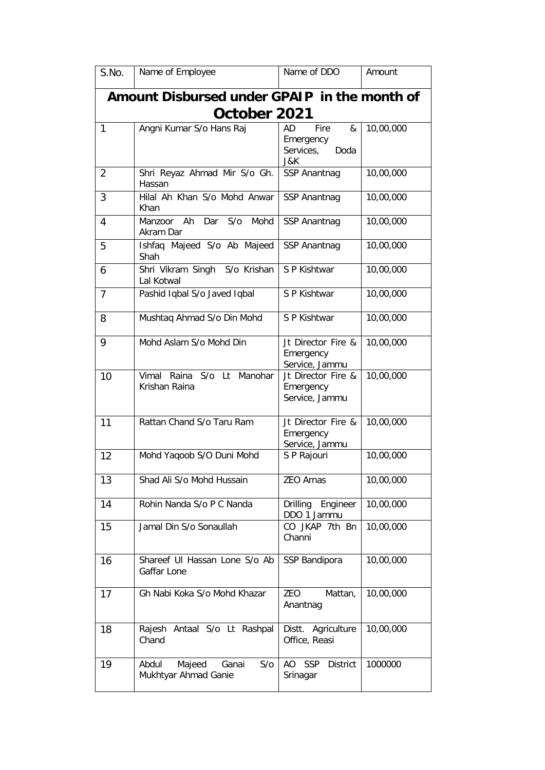| S.No.          | Name of Employee                                             | Name of DDO                                              | Amount    |  |  |
|----------------|--------------------------------------------------------------|----------------------------------------------------------|-----------|--|--|
|                | Amount Disbursed under GPAIP in the month of<br>October 2021 |                                                          |           |  |  |
| 1              | Angni Kumar S/o Hans Raj                                     | Fire<br>&<br>AD<br>Emergency<br>Services,<br>Doda<br>J&K | 10,00,000 |  |  |
| $\overline{2}$ | Shri Reyaz Ahmad Mir S/o Gh.<br>Hassan                       | SSP Anantnag                                             | 10,00,000 |  |  |
| 3              | Hilal Ah Khan S/o Mohd Anwar<br>Khan                         | SSP Anantnag                                             | 10,00,000 |  |  |
| 4              | Manzoor Ah Dar S/o<br>Mohd<br>Akram Dar                      | SSP Anantnag                                             | 10,00,000 |  |  |
| 5              | Ishfaq Majeed S/o Ab Majeed<br>Shah                          | SSP Anantnag                                             | 10,00,000 |  |  |
| 6              | Shri Vikram Singh S/o Krishan<br>Lal Kotwal                  | S P Kishtwar                                             | 10,00,000 |  |  |
| $\overline{7}$ | Pashid Iqbal S/o Javed Iqbal                                 | S P Kishtwar                                             | 10,00,000 |  |  |
| 8              | Mushtaq Ahmad S/o Din Mohd                                   | S P Kishtwar                                             | 10,00,000 |  |  |
| 9              | Mohd Aslam S/o Mohd Din                                      | Jt Director Fire &<br>Emergency<br>Service, Jammu        | 10,00,000 |  |  |
| 10             | S/O<br>Vimal<br>Raina<br>Lt<br>Manohar<br>Krishan Raina      | Jt Director Fire &<br>Emergency<br>Service, Jammu        | 10,00,000 |  |  |
| 11             | Rattan Chand S/o Taru Ram                                    | Jt Director Fire &<br>Emergency<br>Service, Jammu        | 10,00,000 |  |  |
| 12             | Mohd Yaqoob S/O Duni Mohd                                    | S P Rajouri                                              | 10,00,000 |  |  |
| 13             | Shad Ali S/o Mohd Hussain                                    | ZEO Arnas                                                | 10,00,000 |  |  |
| 14             | Rohin Nanda S/o P C Nanda                                    | Drilling<br>Engineer<br>DDO 1 Jammu                      | 10,00,000 |  |  |
| 15             | Jamal Din S/o Sonaullah                                      | CO JKAP 7th Bn<br>Channi                                 | 10,00,000 |  |  |
| 16             | Shareef UI Hassan Lone S/o Ab<br>Gaffar Lone                 | SSP Bandipora                                            | 10,00,000 |  |  |
| 17             | Gh Nabi Koka S/o Mohd Khazar                                 | ZEO<br>Mattan,<br>Anantnag                               | 10,00,000 |  |  |
| 18             | Rajesh Antaal S/o Lt Rashpal<br>Chand                        | Distt.<br>Agriculture<br>Office, Reasi                   | 10,00,000 |  |  |
| 19             | Abdul<br>Majeed<br>Ganai<br>S/O<br>Mukhtyar Ahmad Ganie      | <b>SSP</b><br><b>District</b><br>AO<br>Srinagar          | 1000000   |  |  |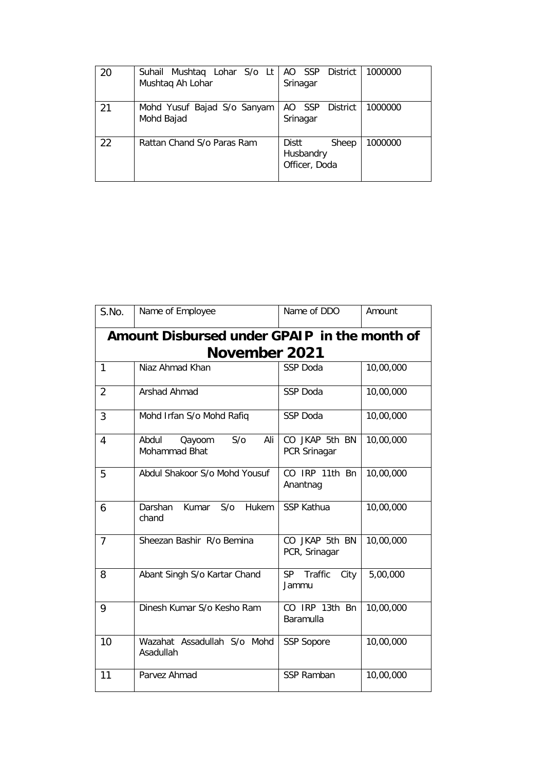| 20 | Suhail Mushtaq Lohar S/o Lt   AO SSP District<br>Mushtaq Ah Lohar | Srinagar                                     | 1000000 |
|----|-------------------------------------------------------------------|----------------------------------------------|---------|
| 21 | Mohd Yusuf Bajad S/o Sanyam<br>Mohd Bajad                         | AO SSP District<br>Srinagar                  | 1000000 |
| 22 | Rattan Chand S/o Paras Ram                                        | Distt<br>Sheep<br>Husbandry<br>Officer, Doda | 1000000 |

| S.No.          | Name of Employee                                              | Name of DDO                     | Amount    |  |
|----------------|---------------------------------------------------------------|---------------------------------|-----------|--|
|                | Amount Disbursed under GPAIP in the month of<br>November 2021 |                                 |           |  |
| 1              | Niaz Ahmad Khan                                               | <b>SSP Doda</b>                 | 10,00,000 |  |
| $\overline{2}$ | Arshad Ahmad                                                  | <b>SSP Doda</b>                 | 10,00,000 |  |
| 3              | Mohd Irfan S/o Mohd Rafiq                                     | <b>SSP Doda</b>                 | 10,00,000 |  |
| 4              | S/O<br>Abdul<br>Ali<br>Qayoom<br>Mohammad Bhat                | CO JKAP 5th BN<br>PCR Srinagar  | 10,00,000 |  |
| 5              | Abdul Shakoor S/o Mohd Yousuf                                 | CO IRP 11th Bn<br>Anantnag      | 10,00,000 |  |
| 6              | S/O<br>Darshan<br>Kumar<br>Hukem<br>chand                     | <b>SSP Kathua</b>               | 10,00,000 |  |
| 7              | Sheezan Bashir R/o Bemina                                     | CO JKAP 5th BN<br>PCR, Srinagar | 10,00,000 |  |
| 8              | Abant Singh S/o Kartar Chand                                  | SP.<br>Traffic<br>City<br>Jammu | 5,00,000  |  |
| 9              | Dinesh Kumar S/o Kesho Ram                                    | CO IRP 13th Bn<br>Baramulla     | 10,00,000 |  |
| 10             | Wazahat Assadullah S/o Mohd<br>Asadullah                      | <b>SSP Sopore</b>               | 10,00,000 |  |
| 11             | Parvez Ahmad                                                  | SSP Ramban                      | 10,00,000 |  |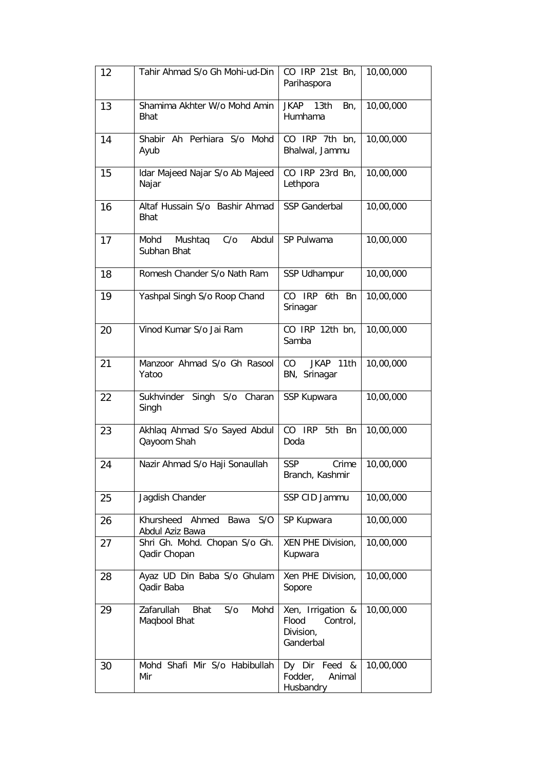| 12 | Tahir Ahmad S/o Gh Mohi-ud-Din                           | CO IRP 21st Bn,<br>Parihaspora                                   | 10,00,000 |
|----|----------------------------------------------------------|------------------------------------------------------------------|-----------|
| 13 | Shamima Akhter W/o Mohd Amin<br><b>Bhat</b>              | JKAP<br>13 <sub>th</sub><br>Bn,<br>Humhama                       | 10,00,000 |
| 14 | Shabir Ah Perhiara S/o Mohd<br>Ayub                      | CO IRP 7th bn,<br>Bhalwal, Jammu                                 | 10,00,000 |
| 15 | Idar Majeed Najar S/o Ab Majeed<br>Najar                 | CO IRP 23rd Bn,<br>Lethpora                                      | 10,00,000 |
| 16 | Altaf Hussain S/o Bashir Ahmad<br><b>Bhat</b>            | <b>SSP Ganderbal</b>                                             | 10,00,000 |
| 17 | Abdul<br>Mohd<br>Mushtaq<br>C/O<br>Subhan Bhat           | SP Pulwama                                                       | 10,00,000 |
| 18 | Romesh Chander S/o Nath Ram                              | SSP Udhampur                                                     | 10,00,000 |
| 19 | Yashpal Singh S/o Roop Chand                             | CO<br><b>IRP</b><br>6th Bn<br>Srinagar                           | 10,00,000 |
| 20 | Vinod Kumar S/o Jai Ram                                  | CO IRP 12th bn,<br>Samba                                         | 10,00,000 |
| 21 | Manzoor Ahmad S/o Gh Rasool<br>Yatoo                     | CO<br>JKAP 11th<br>BN, Srinagar                                  | 10,00,000 |
| 22 | Sukhvinder Singh S/o Charan<br>Singh                     | SSP Kupwara                                                      | 10,00,000 |
| 23 | Akhlaq Ahmad S/o Sayed Abdul<br>Qayoom Shah              | CO IRP<br>5th Bn<br>Doda                                         | 10,00,000 |
| 24 | Nazir Ahmad S/o Haji Sonaullah                           | <b>SSP</b><br>Crime<br>Branch, Kashmir                           | 10,00,000 |
| 25 | Jagdish Chander                                          | SSP CID Jammu                                                    | 10,00,000 |
| 26 | Khursheed Ahmed<br>S/O<br>Bawa<br>Abdul Aziz Bawa        | SP Kupwara                                                       | 10,00,000 |
| 27 | Shri Gh. Mohd. Chopan S/o Gh.<br>Qadir Chopan            | XEN PHE Division,<br>Kupwara                                     | 10,00,000 |
| 28 | Ayaz UD Din Baba S/o Ghulam<br>Qadir Baba                | Xen PHE Division,<br>Sopore                                      | 10,00,000 |
| 29 | Zafarullah<br>S/O<br>Mohd<br><b>Bhat</b><br>Maqbool Bhat | Xen, Irrigation &<br>Flood<br>Control,<br>Division,<br>Ganderbal | 10,00,000 |
| 30 | Mohd Shafi Mir S/o Habibullah<br>Mir                     | Dy Dir Feed<br>&<br>Fodder,<br>Animal<br>Husbandry               | 10,00,000 |